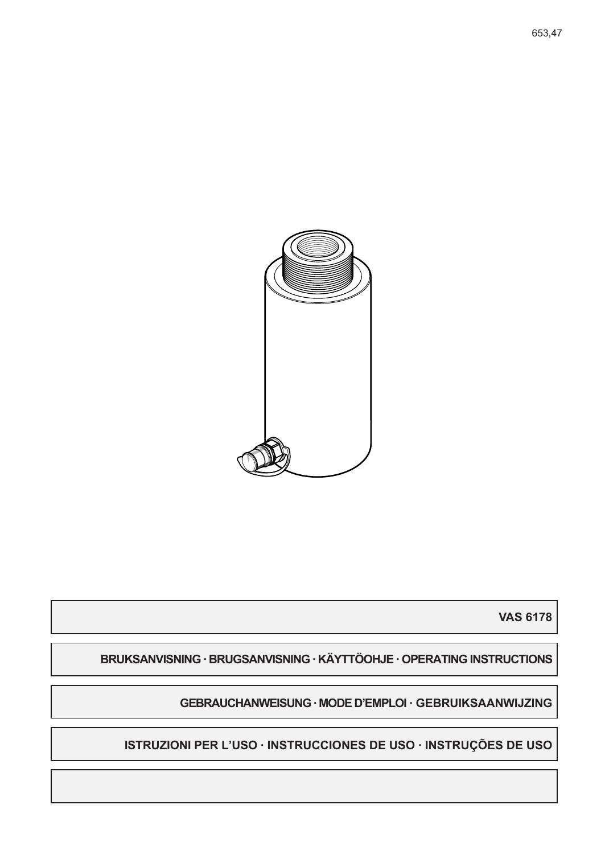

**VAS 6178** 

BRUKSANVISNING · BRUGSANVISNING · KÄYTTÖOHJE · OPERATING INSTRUCTIONS

GEBRAUCHANWEISUNG · MODE D'EMPLOI · GEBRUIKSAANWIJZING

ISTRUZIONI PER L'USO · INSTRUCCIONES DE USO · INSTRUÇÕES DE USO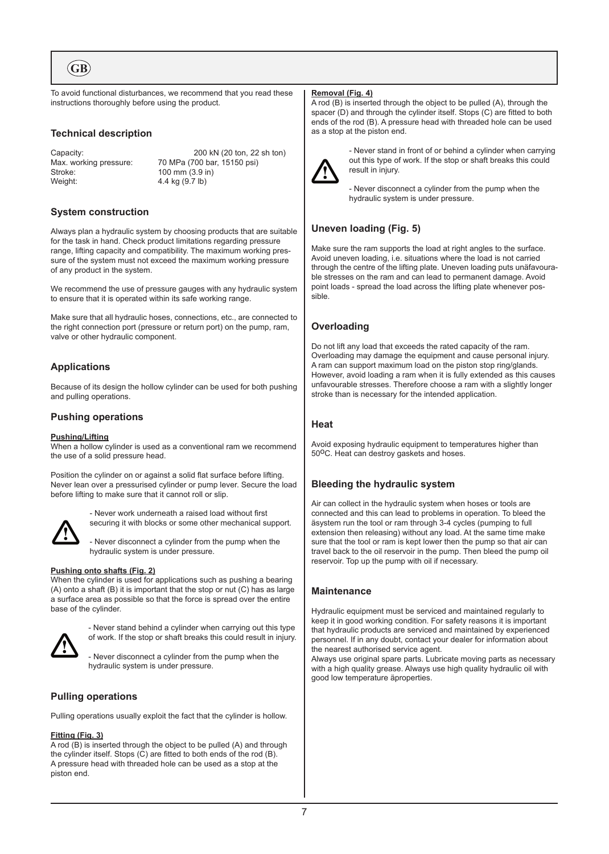**GB**

To avoid functional disturbances, we recommend that you read these instructions thoroughly before using the product.

# **Technical description**

Stroke: 100 mm (3.9 in) Weight: 4.4 kg (9.7 lb)

Capacity: 200 kN (20 ton, 22 sh ton)<br>Max. working pressure: 70 MPa (700 bar, 15150 psi) 70 MPa (700 bar, 15150 psi)

# **System construction**

Always plan a hydraulic system by choosing products that are suitable for the task in hand. Check product limitations regarding pressure range, lifting capacity and compatibility. The maximum working pressure of the system must not exceed the maximum working pressure of any product in the system.

We recommend the use of pressure gauges with any hydraulic system to ensure that it is operated within its safe working range.

Make sure that all hydraulic hoses, connections, etc., are connected to the right connection port (pressure or return port) on the pump, ram, valve or other hydraulic component.

# **Applications**

Because of its design the hollow cylinder can be used for both pushing and pulling operations.

# **Pushing operations**

#### **Pushing/Lifting**

When a hollow cylinder is used as a conventional ram we recommend the use of a solid pressure head.

Position the cylinder on or against a solid flat surface before lifting. Never lean over a pressurised cylinder or pump lever. Secure the load before lifting to make sure that it cannot roll or slip.



- Never work underneath a raised load without first securing it with blocks or some other mechanical support.

- Never disconnect a cylinder from the pump when the hydraulic system is under pressure.

#### **Pushing onto shafts (Fig. 2)**

When the cylinder is used for applications such as pushing a bearing (A) onto a shaft (B) it is important that the stop or nut (C) has as large a surface area as possible so that the force is spread over the entire base of the cylinder.



- Never stand behind a cylinder when carrying out this type of work. If the stop or shaft breaks this could result in injury.

- Never disconnect a cylinder from the pump when the hydraulic system is under pressure.

# **Pulling operations**

Pulling operations usually exploit the fact that the cylinder is hollow.

#### **Fitting (Fig. 3)**

A rod (B) is inserted through the object to be pulled (A) and through the cylinder itself. Stops (C) are fitted to both ends of the rod (B). A pressure head with threaded hole can be used as a stop at the piston end.

#### **Removal (Fig. 4)**

A rod (B) is inserted through the object to be pulled (A), through the spacer (D) and through the cylinder itself. Stops (C) are fitted to both ends of the rod (B). A pressure head with threaded hole can be used as a stop at the piston end.



- Never stand in front of or behind a cylinder when carrying out this type of work. If the stop or shaft breaks this could result in injury.

- Never disconnect a cylinder from the pump when the hydraulic system is under pressure.

# **Uneven loading (Fig. 5)**

Make sure the ram supports the load at right angles to the surface. Avoid uneven loading, i.e. situations where the load is not carried through the centre of the lifting plate. Uneven loading puts unäfavourable stresses on the ram and can lead to permanent damage. Avoid point loads - spread the load across the lifting plate whenever possible.

# **Overloading**

Do not lift any load that exceeds the rated capacity of the ram. Overloading may damage the equipment and cause personal injury. A ram can support maximum load on the piston stop ring/glands. However, avoid loading a ram when it is fully extended as this causes unfavourable stresses. Therefore choose a ram with a slightly longer stroke than is necessary for the intended application.

### **Heat**

Avoid exposing hydraulic equipment to temperatures higher than 50°C. Heat can destroy gaskets and hoses.

# **Bleeding the hydraulic system**

Air can collect in the hydraulic system when hoses or tools are connected and this can lead to problems in operation. To bleed the äsystem run the tool or ram through 3-4 cycles (pumping to full extension then releasing) without any load. At the same time make sure that the tool or ram is kept lower then the pump so that air can travel back to the oil reservoir in the pump. Then bleed the pump oil reservoir. Top up the pump with oil if necessary.

# **Maintenance**

Hydraulic equipment must be serviced and maintained regularly to keep it in good working condition. For safety reasons it is important that hydraulic products are serviced and maintained by experienced personnel. If in any doubt, contact your dealer for information about the nearest authorised service agent.

Always use original spare parts. Lubricate moving parts as necessary with a high quality grease. Always use high quality hydraulic oil with good low temperature äproperties.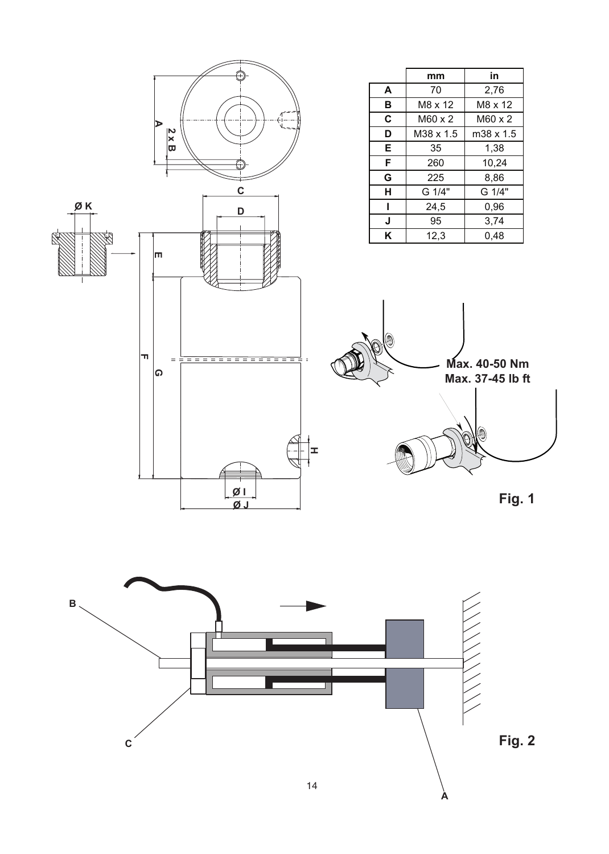